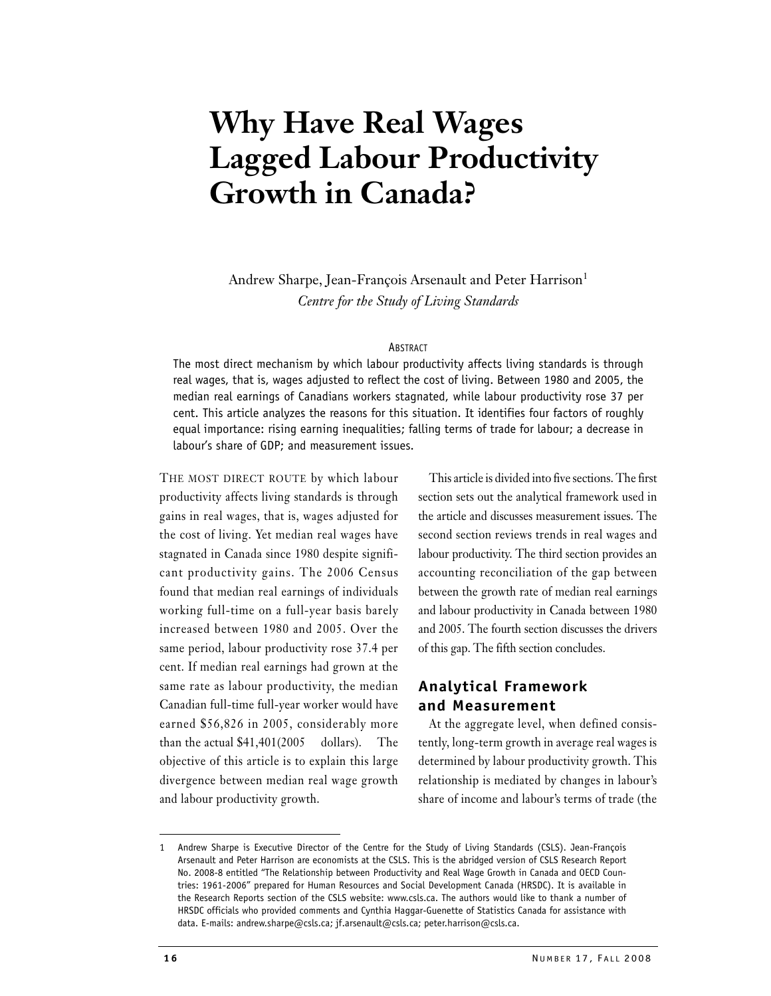# **Why Have Real Wages Lagged Labour Productivity Growth in Canada?**

Andrew Sharpe, Jean-François Arsenault and Peter Harrison<sup>1</sup> *Centre for the Study of Living Standards*

#### ABSTRACT

The most direct mechanism by which labour productivity affects living standards is through real wages, that is, wages adjusted to reflect the cost of living. Between 1980 and 2005, the median real earnings of Canadians workers stagnated, while labour productivity rose 37 per cent. This article analyzes the reasons for this situation. It identifies four factors of roughly equal importance: rising earning inequalities; falling terms of trade for labour; a decrease in labour's share of GDP; and measurement issues.

THE MOST DIRECT ROUTE by which labour productivity affects living standards is through gains in real wages, that is, wages adjusted for the cost of living. Yet median real wages have stagnated in Canada since 1980 despite significant productivity gains. The 2006 Census found that median real earnings of individuals working full-time on a full-year basis barely increased between 1980 and 2005. Over the same period, labour productivity rose 37.4 per cent. If median real earnings had grown at the same rate as labour productivity, the median Canadian full-time full-year worker would have earned \$56,826 in 2005, considerably more than the actual \$41,401(2005 dollars). The objective of this article is to explain this large divergence between median real wage growth and labour productivity growth.

This article is divided into five sections. The first section sets out the analytical framework used in the article and discusses measurement issues. The second section reviews trends in real wages and labour productivity. The third section provides an accounting reconciliation of the gap between between the growth rate of median real earnings and labour productivity in Canada between 1980 and 2005. The fourth section discusses the drivers of this gap. The fifth section concludes.

## **Analytical Framework and Measurement**

At the aggregate level, when defined consistently, long-term growth in average real wages is determined by labour productivity growth. This relationship is mediated by changes in labour's share of income and labour's terms of trade (the

<sup>1</sup> Andrew Sharpe is Executive Director of the Centre for the Study of Living Standards (CSLS). Jean-François Arsenault and Peter Harrison are economists at the CSLS. This is the abridged version of CSLS Research Report No. 2008-8 entitled "The Relationship between Productivity and Real Wage Growth in Canada and OECD Countries: 1961-2006" prepared for Human Resources and Social Development Canada (HRSDC). It is available in the Research Reports section of the CSLS website: www.csls.ca. The authors would like to thank a number of HRSDC officials who provided comments and Cynthia Haggar-Guenette of Statistics Canada for assistance with data. E-mails: andrew.sharpe@csls.ca; jf.arsenault@csls.ca; peter.harrison@csls.ca.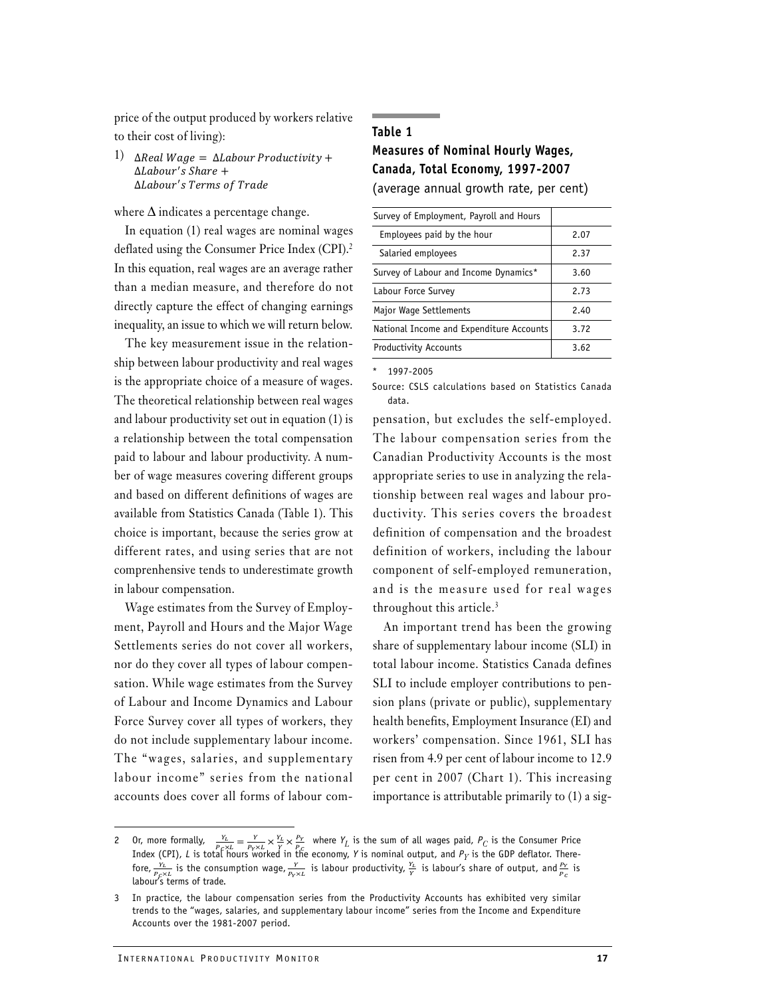price of the output produced by workers relative to their cost of living):

1)  $\Delta$ Real Wage =  $\Delta$ Labour Productivity +  $\Delta$ Labour's Share +  $\Delta$ Labour's Terms of Trade

where  $\Delta$  indicates a percentage change.

In equation (1) real wages are nominal wages deflated using the Consumer Price Index (CPI).<sup>2</sup> In this equation, real wages are an average rather than a median measure, and therefore do not directly capture the effect of changing earnings inequality, an issue to which we will return below.

The key measurement issue in the relationship between labour productivity and real wages is the appropriate choice of a measure of wages. The theoretical relationship between real wages and labour productivity set out in equation (1) is a relationship between the total compensation paid to labour and labour productivity. A number of wage measures covering different groups and based on different definitions of wages are available from Statistics Canada (Table 1). This choice is important, because the series grow at different rates, and using series that are not comprenhensive tends to underestimate growth in labour compensation.

Wage estimates from the Survey of Employment, Payroll and Hours and the Major Wage Settlements series do not cover all workers, nor do they cover all types of labour compensation. While wage estimates from the Survey of Labour and Income Dynamics and Labour Force Survey cover all types of workers, they do not include supplementary labour income. The "wages, salaries, and supplementary labour income" series from the national accounts does cover all forms of labour com-

# **Table 1 Measures of Nominal Hourly Wages, Canada, Total Economy, 1997-2007** (average annual growth rate, per cent)

| Survey of Employment, Payroll and Hours  |      |
|------------------------------------------|------|
| Employees paid by the hour               | 2.07 |
| Salaried employees                       | 2.37 |
| Survey of Labour and Income Dynamics*    | 3.60 |
| Labour Force Survey                      | 2.73 |
| Major Wage Settlements                   | 2.40 |
| National Income and Expenditure Accounts | 3.72 |
| <b>Productivity Accounts</b>             | 3.62 |

\* 1997-2005

pensation, but excludes the self-employed. The labour compensation series from the Canadian Productivity Accounts is the most appropriate series to use in analyzing the relationship between real wages and labour productivity. This series covers the broadest definition of compensation and the broadest definition of workers, including the labour component of self-employed remuneration, and is the measure used for real wages throughout this article.<sup>3</sup>

An important trend has been the growing share of supplementary labour income (SLI) in total labour income. Statistics Canada defines SLI to include employer contributions to pension plans (private or public), supplementary health benefits, Employment Insurance (EI) and workers' compensation. Since 1961, SLI has risen from 4.9 per cent of labour income to 12.9 per cent in 2007 (Chart 1). This increasing importance is attributable primarily to (1) a sig-

Source: CSLS calculations based on Statistics Canada data.

<sup>2</sup> Or, more formally,  $\frac{Y_L}{P_{\text{X}}L} = \frac{Y}{P_{\text{Y}} \times L} \times \frac{Y_L}{P_{\text{Y}}} \times \frac{Y_L}{P_{\text{Y}}}$  where  $Y_L$  is the sum of all wages paid,  $P_C$  is the Consumer Price Index (CPI), *L* is total hours worked in the economy, *Y* is nominal output, and *PY* is the GDP deflator. Therefore,  $\frac{Y_L}{P_f \times L}$  is the consumption wage,  $\frac{Y}{P_Y \times L}$  is labour productivity,  $\frac{Y_L}{Y}$  is labour's share of output, and  $\frac{P_Y}{P_C}$  is labour's terms of trade.

In practice, the labour compensation series from the Productivity Accounts has exhibited very similar trends to the "wages, salaries, and supplementary labour income" series from the Income and Expenditure Accounts over the 1981-2007 period.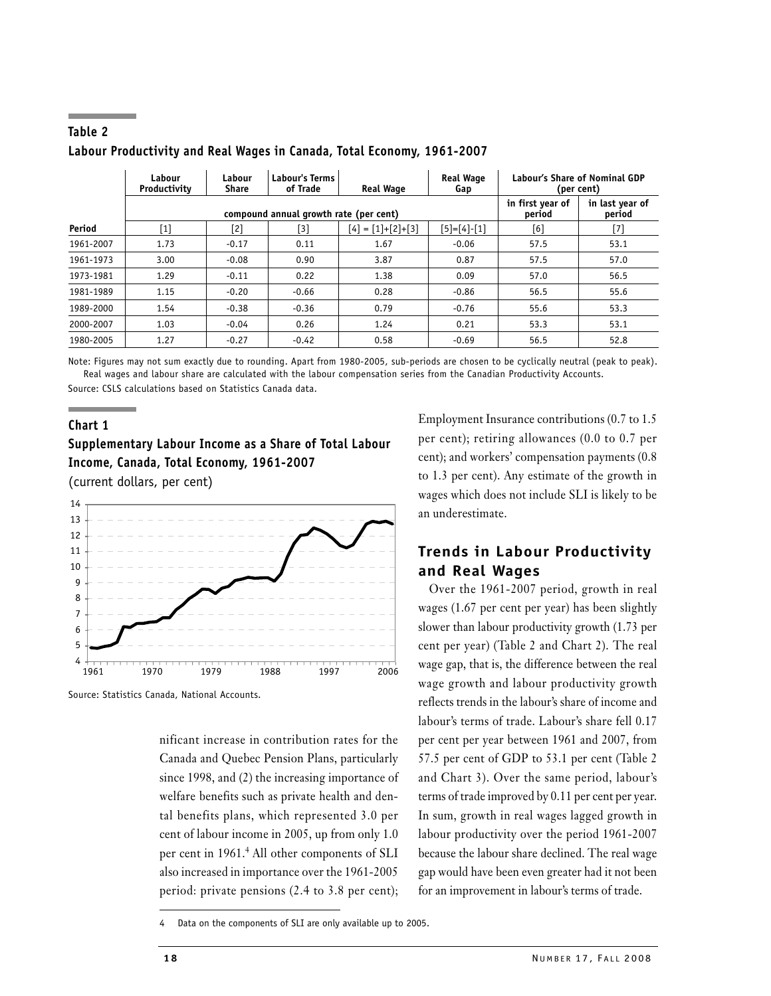|           | Labour<br>Productivity                 | Labour<br><b>Share</b> | <b>Labour's Terms</b><br>of Trade | <b>Real Wage</b>    | <b>Real Wage</b><br>Gap | Labour's Share of Nominal GDP<br>(per cent) |                           |  |
|-----------|----------------------------------------|------------------------|-----------------------------------|---------------------|-------------------------|---------------------------------------------|---------------------------|--|
|           | compound annual growth rate (per cent) |                        |                                   |                     |                         | in first year of<br>period                  | in last year of<br>period |  |
| Period    | $[1]$                                  | $\lceil 2 \rceil$      | [3]                               | $[4] = [1]+[2]+[3]$ | $[5] = [4] - [1]$       | [6]                                         | [7]                       |  |
| 1961-2007 | 1.73                                   | $-0.17$                | 0.11                              | 1.67                | $-0.06$                 | 57.5                                        | 53.1                      |  |
| 1961-1973 | 3.00                                   | $-0.08$                | 0.90                              | 3.87                | 0.87                    | 57.5                                        | 57.0                      |  |
| 1973-1981 | 1.29                                   | $-0.11$                | 0.22                              | 1.38                | 0.09                    | 57.0                                        | 56.5                      |  |
| 1981-1989 | 1.15                                   | $-0.20$                | $-0.66$                           | 0.28                | $-0.86$                 | 56.5                                        | 55.6                      |  |
| 1989-2000 | 1.54                                   | $-0.38$                | $-0.36$                           | 0.79                | $-0.76$                 | 55.6                                        | 53.3                      |  |
| 2000-2007 | 1.03                                   | $-0.04$                | 0.26                              | 1.24                | 0.21                    | 53.3                                        | 53.1                      |  |
| 1980-2005 | 1.27                                   | $-0.27$                | $-0.42$                           | 0.58                | $-0.69$                 | 56.5                                        | 52.8                      |  |

# **Table 2 Labour Productivity and Real Wages in Canada, Total Economy, 1961-2007**

Note: Figures may not sum exactly due to rounding. Apart from 1980-2005, sub-periods are chosen to be cyclically neutral (peak to peak). Real wages and labour share are calculated with the labour compensation series from the Canadian Productivity Accounts. Source: CSLS calculations based on Statistics Canada data.

## **Chart 1**

**Supplementary Labour Income as a Share of Total Labour Income, Canada, Total Economy, 1961-2007** (current dollars, per cent)



Source: Statistics Canada, National Accounts.

nificant increase in contribution rates for the Canada and Quebec Pension Plans, particularly since 1998, and (2) the increasing importance of welfare benefits such as private health and dental benefits plans, which represented 3.0 per cent of labour income in 2005, up from only 1.0 per cent in 1961.<sup>4</sup> All other components of SLI also increased in importance over the 1961-2005 period: private pensions (2.4 to 3.8 per cent);

Employment Insurance contributions (0.7 to 1.5 per cent); retiring allowances (0.0 to 0.7 per cent); and workers' compensation payments (0.8 to 1.3 per cent). Any estimate of the growth in wages which does not include SLI is likely to be an underestimate.

# **Trends in Labour Productivity and Real Wages**

Over the 1961-2007 period, growth in real wages (1.67 per cent per year) has been slightly slower than labour productivity growth (1.73 per cent per year) (Table 2 and Chart 2). The real wage gap, that is, the difference between the real wage growth and labour productivity growth reflects trends in the labour's share of income and labour's terms of trade. Labour's share fell 0.17 per cent per year between 1961 and 2007, from 57.5 per cent of GDP to 53.1 per cent (Table 2 and Chart 3). Over the same period, labour's terms of trade improved by 0.11 per cent per year. In sum, growth in real wages lagged growth in labour productivity over the period 1961-2007 because the labour share declined. The real wage gap would have been even greater had it not been for an improvement in labour's terms of trade.

Data on the components of SLI are only available up to 2005.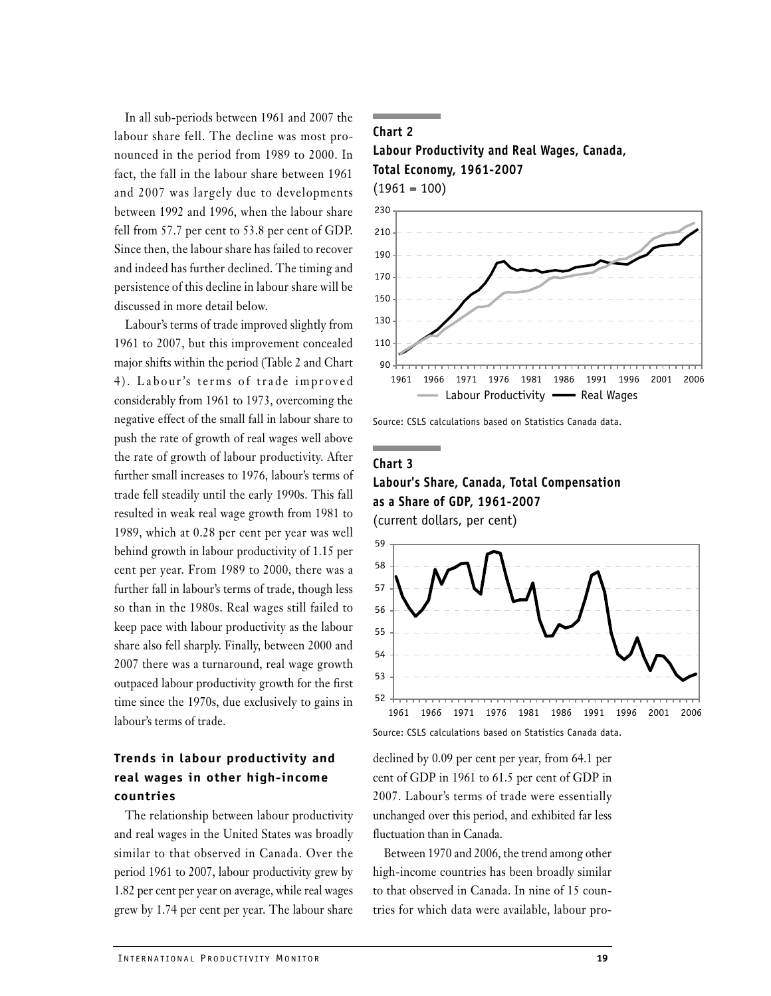In all sub-periods between 1961 and 2007 the labour share fell. The decline was most pronounced in the period from 1989 to 2000. In fact, the fall in the labour share between 1961 and 2007 was largely due to developments between 1992 and 1996, when the labour share fell from 57.7 per cent to 53.8 per cent of GDP. Since then, the labour share has failed to recover and indeed has further declined. The timing and persistence of this decline in labour share will be discussed in more detail below.

Labour's terms of trade improved slightly from 1961 to 2007, but this improvement concealed major shifts within the period (Table 2 and Chart 4). Labour's terms of trade improved considerably from 1961 to 1973, overcoming the negative effect of the small fall in labour share to push the rate of growth of real wages well above the rate of growth of labour productivity. After further small increases to 1976, labour's terms of trade fell steadily until the early 1990s. This fall resulted in weak real wage growth from 1981 to 1989, which at 0.28 per cent per year was well behind growth in labour productivity of 1.15 per cent per year. From 1989 to 2000, there was a further fall in labour's terms of trade, though less so than in the 1980s. Real wages still failed to keep pace with labour productivity as the labour share also fell sharply. Finally, between 2000 and 2007 there was a turnaround, real wage growth outpaced labour productivity growth for the first time since the 1970s, due exclusively to gains in labour's terms of trade.

# **Trends in labour productivity and real wages in other high-income countries**

The relationship between labour productivity and real wages in the United States was broadly similar to that observed in Canada. Over the period 1961 to 2007, labour productivity grew by 1.82 per cent per year on average, while real wages grew by 1.74 per cent per year. The labour share

## **Chart 2**

**Labour Productivity and Real Wages, Canada, Total Economy, 1961-2007**  $(1961 = 100)$ 



Source: CSLS calculations based on Statistics Canada data.

## **Chart 3**

**Labour's Share, Canada, Total Compensation as a Share of GDP, 1961-2007** (current dollars, per cent)



Source: CSLS calculations based on Statistics Canada data.

declined by 0.09 per cent per year, from 64.1 per cent of GDP in 1961 to 61.5 per cent of GDP in 2007. Labour's terms of trade were essentially unchanged over this period, and exhibited far less fluctuation than in Canada.

Between 1970 and 2006, the trend among other high-income countries has been broadly similar to that observed in Canada. In nine of 15 countries for which data were available, labour pro-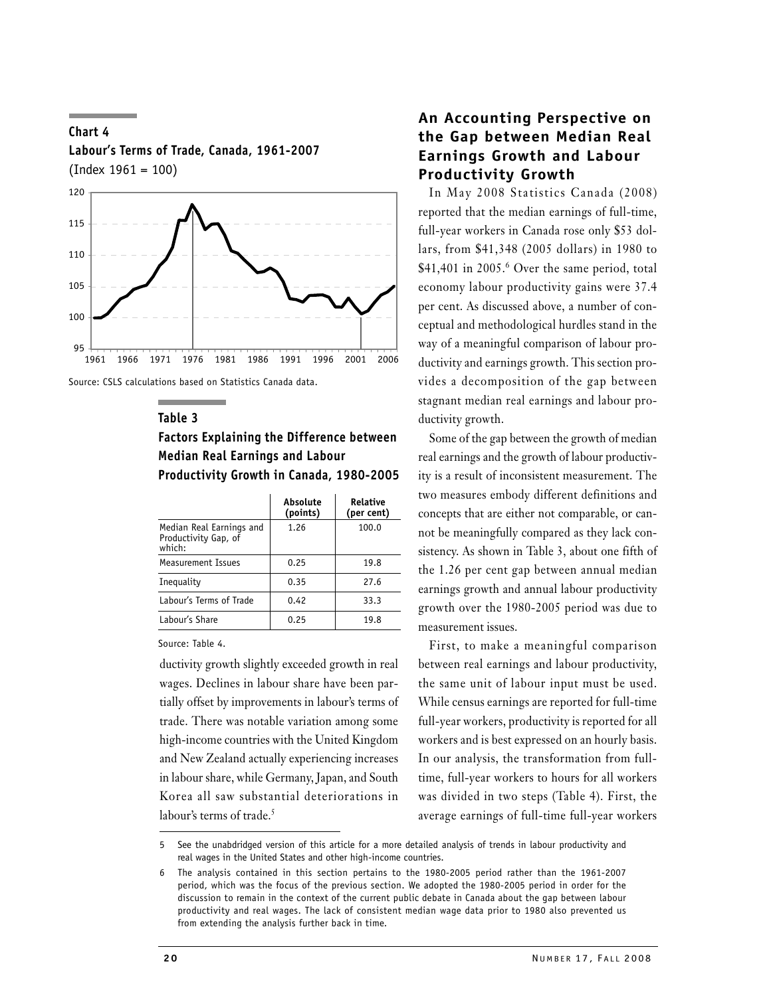

Source: CSLS calculations based on Statistics Canada data.

**Labour's Terms of Trade, Canada, 1961-2007**

#### **Table 3**

**Chart 4**

# **Factors Explaining the Difference between Median Real Earnings and Labour Productivity Growth in Canada, 1980-2005**

|                                                            | Absolute<br>(points) | Relative<br>(per cent) |
|------------------------------------------------------------|----------------------|------------------------|
| Median Real Earnings and<br>Productivity Gap, of<br>which: | 1.26                 | 100.0                  |
| Measurement Issues                                         | 0.25                 | 19.8                   |
| Inequality                                                 | 0.35                 | 27.6                   |
| Labour's Terms of Trade                                    | 0.42                 | 33.3                   |
| Labour's Share                                             | 0.25                 | 19.8                   |

Source: Table 4.

ductivity growth slightly exceeded growth in real wages. Declines in labour share have been partially offset by improvements in labour's terms of trade. There was notable variation among some high-income countries with the United Kingdom and New Zealand actually experiencing increases in labour share, while Germany, Japan, and South Korea all saw substantial deteriorations in labour's terms of trade.<sup>5</sup>

# **An Accounting Perspective on the Gap between Median Real Earnings Growth and Labour Productivity Growth**

In May 2008 Statistics Canada (2008) reported that the median earnings of full-time, full-year workers in Canada rose only \$53 dollars, from \$41,348 (2005 dollars) in 1980 to \$41,401 in 2005.<sup>6</sup> Over the same period, total economy labour productivity gains were 37.4 per cent. As discussed above, a number of conceptual and methodological hurdles stand in the way of a meaningful comparison of labour productivity and earnings growth. This section provides a decomposition of the gap between stagnant median real earnings and labour productivity growth.

Some of the gap between the growth of median real earnings and the growth of labour productivity is a result of inconsistent measurement. The two measures embody different definitions and concepts that are either not comparable, or cannot be meaningfully compared as they lack consistency. As shown in Table 3, about one fifth of the 1.26 per cent gap between annual median earnings growth and annual labour productivity growth over the 1980-2005 period was due to measurement issues.

First, to make a meaningful comparison between real earnings and labour productivity, the same unit of labour input must be used. While census earnings are reported for full-time full-year workers, productivity is reported for all workers and is best expressed on an hourly basis. In our analysis, the transformation from fulltime, full-year workers to hours for all workers was divided in two steps (Table 4). First, the average earnings of full-time full-year workers

5 See the unabdridged version of this article for a more detailed analysis of trends in labour productivity and real wages in the United States and other high-income countries.

<sup>6</sup> The analysis contained in this section pertains to the 1980-2005 period rather than the 1961-2007 period, which was the focus of the previous section. We adopted the 1980-2005 period in order for the discussion to remain in the context of the current public debate in Canada about the gap between labour productivity and real wages. The lack of consistent median wage data prior to 1980 also prevented us from extending the analysis further back in time.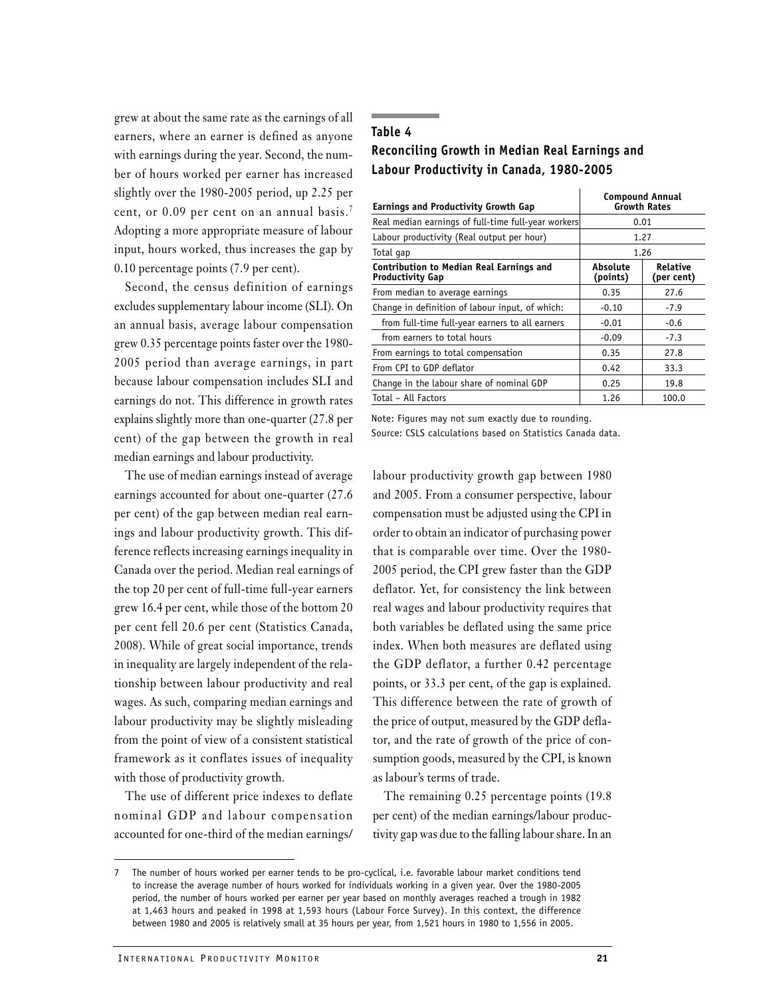grew at about the same rate as the earnings of all earners, where an earner is defined as anyone with earnings during the year. Second, the number of hours worked per earner has increased slightly over the 1980-2005 period, up 2.25 per cent, or 0.09 per cent on an annual basis.<sup>7</sup> Adopting a more appropriate measure of labour input, hours worked, thus increases the gap by 0.10 percentage points (7.9 per cent).

Second, the census definition of earnings excludes supplementary labour income (SLI). On an annual basis, average labour compensation grew 0.35 percentage points faster over the 1980- 2005 period than average earnings, in part because labour compensation includes SLI and earnings do not. This difference in growth rates explains slightly more than one-quarter (27.8 per cent) of the gap between the growth in real median earnings and labour productivity.

The use of median earnings instead of average earnings accounted for about one-quarter (27.6 per cent) of the gap between median real earnings and labour productivity growth. This difference reflects increasing earnings inequality in Canada over the period. Median real earnings of the top 20 per cent of full-time full-year earners grew 16.4 per cent, while those of the bottom 20 per cent fell 20.6 per cent (Statistics Canada, 2008). While of great social importance, trends in inequality are largely independent of the relationship between labour productivity and real wages. As such, comparing median earnings and labour productivity may be slightly misleading from the point of view of a consistent statistical framework as it conflates issues of inequality with those of productivity growth.

The use of different price indexes to deflate nominal GDP and labour compensation accounted for one-third of the median earnings/

## **Table 4 Reconciling Growth in Median Real Earnings and Labour Productivity in Canada, 1980-2005**

| <b>Earnings and Productivity Growth Gap</b>                                | <b>Compound Annual</b><br><b>Growth Rates</b> |                        |  |  |
|----------------------------------------------------------------------------|-----------------------------------------------|------------------------|--|--|
| Real median earnings of full-time full-year workers                        | 0.01                                          |                        |  |  |
| Labour productivity (Real output per hour)                                 | 1.27                                          |                        |  |  |
| Total gap                                                                  | 1.26                                          |                        |  |  |
| <b>Contribution to Median Real Earnings and</b><br><b>Productivity Gap</b> | Absolute<br>(points)                          | Relative<br>(per cent) |  |  |
| From median to average earnings                                            | 0.35                                          | 27.6                   |  |  |
| Change in definition of labour input, of which:                            | $-0.10$                                       | $-7.9$                 |  |  |
| from full-time full-year earners to all earners                            | $-0.01$                                       | $-0.6$                 |  |  |
| from earners to total hours                                                | $-0.09$                                       | $-7.3$                 |  |  |
| From earnings to total compensation                                        | 0.35                                          | 27.8                   |  |  |
| From CPI to GDP deflator                                                   | 0.42                                          | 33.3                   |  |  |
| Change in the labour share of nominal GDP                                  | 0.25                                          | 19.8                   |  |  |
| Total - All Factors                                                        | 1.26                                          | 100.0                  |  |  |

Note: Figures may not sum exactly due to rounding.

Source: CSLS calculations based on Statistics Canada data.

labour productivity growth gap between 1980 and 2005. From a consumer perspective, labour compensation must be adjusted using the CPI in order to obtain an indicator of purchasing power that is comparable over time. Over the 1980- 2005 period, the CPI grew faster than the GDP deflator. Yet, for consistency the link between real wages and labour productivity requires that both variables be deflated using the same price index. When both measures are deflated using the GDP deflator, a further 0.42 percentage points, or 33.3 per cent, of the gap is explained. This difference between the rate of growth of the price of output, measured by the GDP deflator, and the rate of growth of the price of consumption goods, measured by the CPI, is known as labour's terms of trade.

The remaining 0.25 percentage points (19.8 per cent) of the median earnings/labour productivity gap was due to the falling labour share. In an

The number of hours worked per earner tends to be pro-cyclical, i.e. favorable labour market conditions tend to increase the average number of hours worked for individuals working in a given year. Over the 1980-2005 period, the number of hours worked per earner per year based on monthly averages reached a trough in 1982 at 1,463 hours and peaked in 1998 at 1,593 hours (Labour Force Survey). In this context, the difference between 1980 and 2005 is relatively small at 35 hours per year, from 1,521 hours in 1980 to 1,556 in 2005.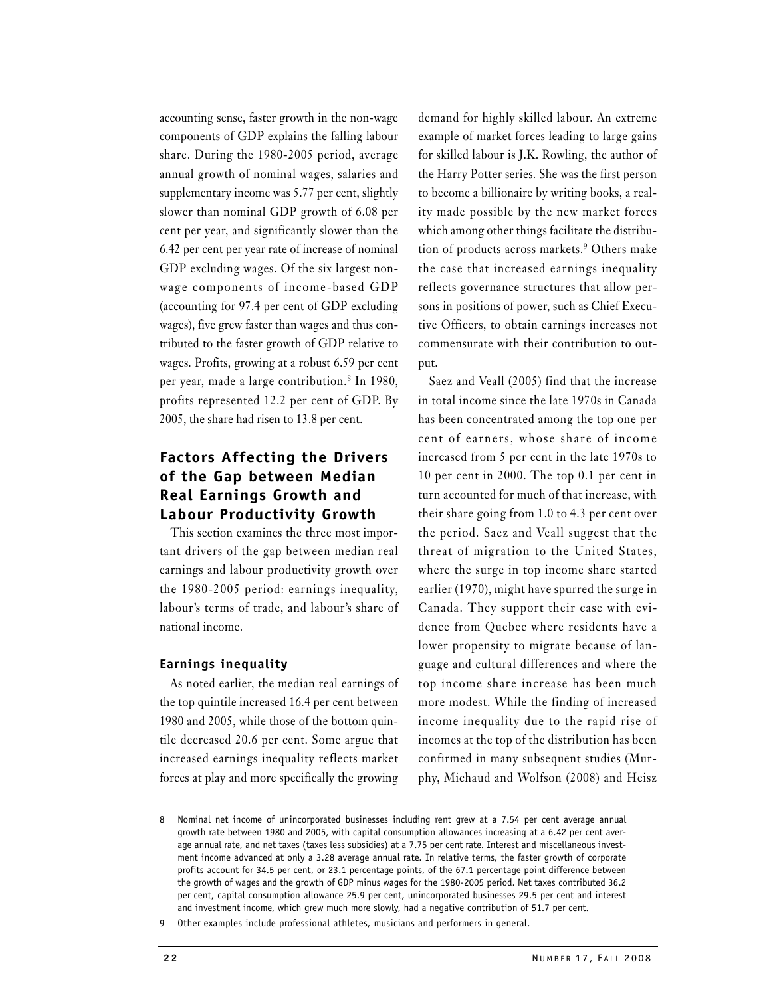accounting sense, faster growth in the non-wage components of GDP explains the falling labour share. During the 1980-2005 period, average annual growth of nominal wages, salaries and supplementary income was 5.77 per cent, slightly slower than nominal GDP growth of 6.08 per cent per year, and significantly slower than the 6.42 per cent per year rate of increase of nominal GDP excluding wages. Of the six largest nonwage components of income-based GDP (accounting for 97.4 per cent of GDP excluding wages), five grew faster than wages and thus contributed to the faster growth of GDP relative to wages. Profits, growing at a robust 6.59 per cent per year, made a large contribution.8 In 1980, profits represented 12.2 per cent of GDP. By 2005, the share had risen to 13.8 per cent.

# **Factors Affecting the Drivers of the Gap between Median Real Earnings Growth and Labour Productivity Growth**

This section examines the three most important drivers of the gap between median real earnings and labour productivity growth over the 1980-2005 period: earnings inequality, labour's terms of trade, and labour's share of national income.

## **Earnings inequality**

As noted earlier, the median real earnings of the top quintile increased 16.4 per cent between 1980 and 2005, while those of the bottom quintile decreased 20.6 per cent. Some argue that increased earnings inequality reflects market forces at play and more specifically the growing

demand for highly skilled labour. An extreme example of market forces leading to large gains for skilled labour is J.K. Rowling, the author of the Harry Potter series. She was the first person to become a billionaire by writing books, a reality made possible by the new market forces which among other things facilitate the distribution of products across markets.<sup>9</sup> Others make the case that increased earnings inequality reflects governance structures that allow persons in positions of power, such as Chief Executive Officers, to obtain earnings increases not commensurate with their contribution to output.

Saez and Veall (2005) find that the increase in total income since the late 1970s in Canada has been concentrated among the top one per cent of earners, whose share of income increased from 5 per cent in the late 1970s to 10 per cent in 2000. The top 0.1 per cent in turn accounted for much of that increase, with their share going from 1.0 to 4.3 per cent over the period. Saez and Veall suggest that the threat of migration to the United States, where the surge in top income share started earlier (1970), might have spurred the surge in Canada. They support their case with evidence from Quebec where residents have a lower propensity to migrate because of language and cultural differences and where the top income share increase has been much more modest. While the finding of increased income inequality due to the rapid rise of incomes at the top of the distribution has been confirmed in many subsequent studies (Murphy, Michaud and Wolfson (2008) and Heisz

<sup>8</sup> Nominal net income of unincorporated businesses including rent grew at a 7.54 per cent average annual growth rate between 1980 and 2005, with capital consumption allowances increasing at a 6.42 per cent average annual rate, and net taxes (taxes less subsidies) at a 7.75 per cent rate. Interest and miscellaneous investment income advanced at only a 3.28 average annual rate. In relative terms, the faster growth of corporate profits account for 34.5 per cent, or 23.1 percentage points, of the 67.1 percentage point difference between the growth of wages and the growth of GDP minus wages for the 1980-2005 period. Net taxes contributed 36.2 per cent, capital consumption allowance 25.9 per cent, unincorporated businesses 29.5 per cent and interest and investment income, which grew much more slowly, had a negative contribution of 51.7 per cent.

<sup>9</sup> Other examples include professional athletes, musicians and performers in general.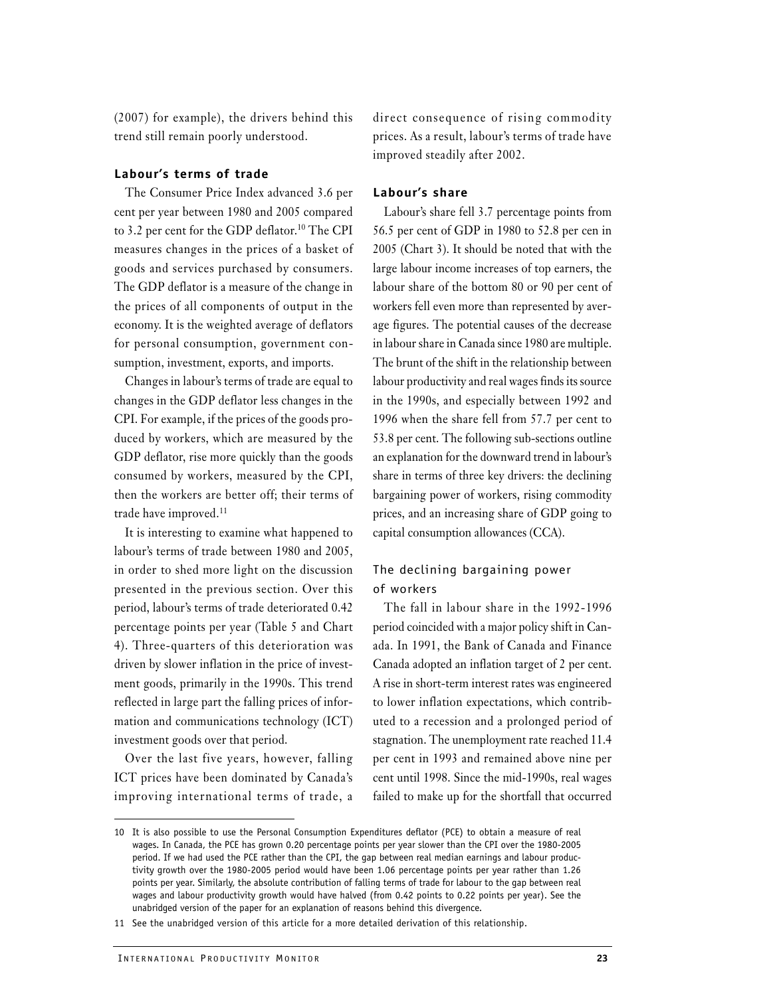(2007) for example), the drivers behind this trend still remain poorly understood.

## **Labour's terms of trade**

The Consumer Price Index advanced 3.6 per cent per year between 1980 and 2005 compared to 3.2 per cent for the GDP deflator.<sup>10</sup> The CPI measures changes in the prices of a basket of goods and services purchased by consumers. The GDP deflator is a measure of the change in the prices of all components of output in the economy. It is the weighted average of deflators for personal consumption, government consumption, investment, exports, and imports.

Changes in labour's terms of trade are equal to changes in the GDP deflator less changes in the CPI. For example, if the prices of the goods produced by workers, which are measured by the GDP deflator, rise more quickly than the goods consumed by workers, measured by the CPI, then the workers are better off; their terms of trade have improved.<sup>11</sup>

It is interesting to examine what happened to labour's terms of trade between 1980 and 2005, in order to shed more light on the discussion presented in the previous section. Over this period, labour's terms of trade deteriorated 0.42 percentage points per year (Table 5 and Chart 4). Three-quarters of this deterioration was driven by slower inflation in the price of investment goods, primarily in the 1990s. This trend reflected in large part the falling prices of information and communications technology (ICT) investment goods over that period.

Over the last five years, however, falling ICT prices have been dominated by Canada's improving international terms of trade, a

direct consequence of rising commodity prices. As a result, labour's terms of trade have improved steadily after 2002.

## **Labour's share**

Labour's share fell 3.7 percentage points from 56.5 per cent of GDP in 1980 to 52.8 per cen in 2005 (Chart 3). It should be noted that with the large labour income increases of top earners, the labour share of the bottom 80 or 90 per cent of workers fell even more than represented by average figures. The potential causes of the decrease in labour share in Canada since 1980 are multiple. The brunt of the shift in the relationship between labour productivity and real wages finds its source in the 1990s, and especially between 1992 and 1996 when the share fell from 57.7 per cent to 53.8 per cent. The following sub-sections outline an explanation for the downward trend in labour's share in terms of three key drivers: the declining bargaining power of workers, rising commodity prices, and an increasing share of GDP going to capital consumption allowances (CCA).

## The declining bargaining power of workers

The fall in labour share in the 1992-1996 period coincided with a major policy shift in Canada. In 1991, the Bank of Canada and Finance Canada adopted an inflation target of 2 per cent. A rise in short-term interest rates was engineered to lower inflation expectations, which contributed to a recession and a prolonged period of stagnation. The unemployment rate reached 11.4 per cent in 1993 and remained above nine per cent until 1998. Since the mid-1990s, real wages failed to make up for the shortfall that occurred

<sup>10</sup> It is also possible to use the Personal Consumption Expenditures deflator (PCE) to obtain a measure of real wages. In Canada, the PCE has grown 0.20 percentage points per year slower than the CPI over the 1980-2005 period. If we had used the PCE rather than the CPI, the gap between real median earnings and labour productivity growth over the 1980-2005 period would have been 1.06 percentage points per year rather than 1.26 points per year. Similarly, the absolute contribution of falling terms of trade for labour to the gap between real wages and labour productivity growth would have halved (from 0.42 points to 0.22 points per year). See the unabridged version of the paper for an explanation of reasons behind this divergence.

<sup>11</sup> See the unabridged version of this article for a more detailed derivation of this relationship.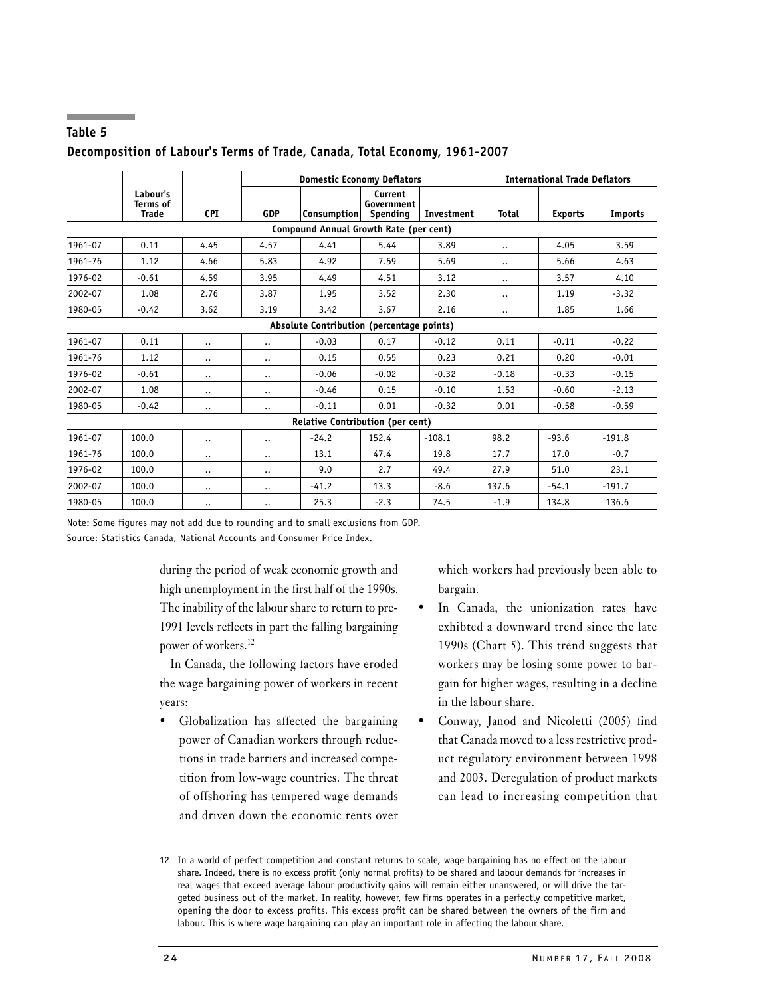|                                         |                                             |                        | <b>Domestic Economy Deflators</b> |                                           |                                   |            | <b>International Trade Deflators</b> |                |                |
|-----------------------------------------|---------------------------------------------|------------------------|-----------------------------------|-------------------------------------------|-----------------------------------|------------|--------------------------------------|----------------|----------------|
|                                         | Labour's<br><b>Terms of</b><br><b>Trade</b> | <b>CPI</b>             | <b>GDP</b>                        | Consumption                               | Current<br>Government<br>Spending | Investment | <b>Total</b>                         | <b>Exports</b> | <b>Imports</b> |
| Compound Annual Growth Rate (per cent)  |                                             |                        |                                   |                                           |                                   |            |                                      |                |                |
| 1961-07                                 | 0.11                                        | 4.45                   | 4.57                              | 4.41                                      | 5.44                              | 3.89       | $\ddotsc$                            | 4.05           | 3.59           |
| 1961-76                                 | 1.12                                        | 4.66                   | 5.83                              | 4.92                                      | 7.59                              | 5.69       | $\ddotsc$                            | 5.66           | 4.63           |
| 1976-02                                 | $-0.61$                                     | 4.59                   | 3.95                              | 4.49                                      | 4.51                              | 3.12       | $\cdots$                             | 3.57           | 4.10           |
| 2002-07                                 | 1.08                                        | 2.76                   | 3.87                              | 1.95                                      | 3.52                              | 2.30       | $\ddotsc$                            | 1.19           | $-3.32$        |
| 1980-05                                 | $-0.42$                                     | 3.62                   | 3.19                              | 3.42                                      | 3.67                              | 2.16       | $\cdot\cdot$                         | 1.85           | 1.66           |
|                                         |                                             |                        |                                   | Absolute Contribution (percentage points) |                                   |            |                                      |                |                |
| 1961-07                                 | 0.11                                        | $\ddotsc$              | $\ddotsc$                         | $-0.03$                                   | 0.17                              | $-0.12$    | 0.11                                 | $-0.11$        | $-0.22$        |
| 1961-76                                 | 1.12                                        | $\ddotsc$              | $\ddotsc$                         | 0.15                                      | 0.55                              | 0.23       | 0.21                                 | 0.20           | $-0.01$        |
| 1976-02                                 | $-0.61$                                     | $\ddotsc$              | $\ddotsc$                         | $-0.06$                                   | $-0.02$                           | $-0.32$    | $-0.18$                              | $-0.33$        | $-0.15$        |
| 2002-07                                 | 1.08                                        | $\ddotsc$              | $\ddotsc$                         | $-0.46$                                   | 0.15                              | $-0.10$    | 1.53                                 | $-0.60$        | $-2.13$        |
| 1980-05                                 | $-0.42$                                     | $\ddot{\phantom{a}}$ . | $\ddotsc$                         | $-0.11$                                   | 0.01                              | $-0.32$    | 0.01                                 | $-0.58$        | $-0.59$        |
| <b>Relative Contribution (per cent)</b> |                                             |                        |                                   |                                           |                                   |            |                                      |                |                |
| 1961-07                                 | 100.0                                       |                        | $\ddotsc$                         | $-24.2$                                   | 152.4                             | $-108.1$   | 98.2                                 | $-93.6$        | $-191.8$       |
| 1961-76                                 | 100.0                                       | $\ddotsc$              | $\ddotsc$                         | 13.1                                      | 47.4                              | 19.8       | 17.7                                 | 17.0           | $-0.7$         |
| 1976-02                                 | 100.0                                       | $\ddotsc$              | $\ddotsc$                         | 9.0                                       | 2.7                               | 49.4       | 27.9                                 | 51.0           | 23.1           |
| 2002-07                                 | 100.0                                       | $\ddotsc$              | $\ddotsc$                         | $-41.2$                                   | 13.3                              | $-8.6$     | 137.6                                | $-54.1$        | $-191.7$       |
| 1980-05                                 | 100.0                                       | $\ddotsc$              | $\ddotsc$                         | 25.3                                      | $-2.3$                            | 74.5       | $-1.9$                               | 134.8          | 136.6          |

## **Table 5 Decomposition of Labour's Terms of Trade, Canada, Total Economy, 1961-2007**

Note: Some figures may not add due to rounding and to small exclusions from GDP. Source: Statistics Canada, National Accounts and Consumer Price Index.

> during the period of weak economic growth and high unemployment in the first half of the 1990s. The inability of the labour share to return to pre-1991 levels reflects in part the falling bargaining power of workers.<sup>12</sup>

> In Canada, the following factors have eroded the wage bargaining power of workers in recent years:

• Globalization has affected the bargaining power of Canadian workers through reductions in trade barriers and increased competition from low-wage countries. The threat of offshoring has tempered wage demands and driven down the economic rents over

which workers had previously been able to bargain.

- In Canada, the unionization rates have exhibted a downward trend since the late 1990s (Chart 5). This trend suggests that workers may be losing some power to bargain for higher wages, resulting in a decline in the labour share.
- Conway, Janod and Nicoletti (2005) find that Canada moved to a less restrictive product regulatory environment between 1998 and 2003. Deregulation of product markets can lead to increasing competition that

<sup>12</sup> In a world of perfect competition and constant returns to scale, wage bargaining has no effect on the labour share. Indeed, there is no excess profit (only normal profits) to be shared and labour demands for increases in real wages that exceed average labour productivity gains will remain either unanswered, or will drive the targeted business out of the market. In reality, however, few firms operates in a perfectly competitive market, opening the door to excess profits. This excess profit can be shared between the owners of the firm and labour. This is where wage bargaining can play an important role in affecting the labour share.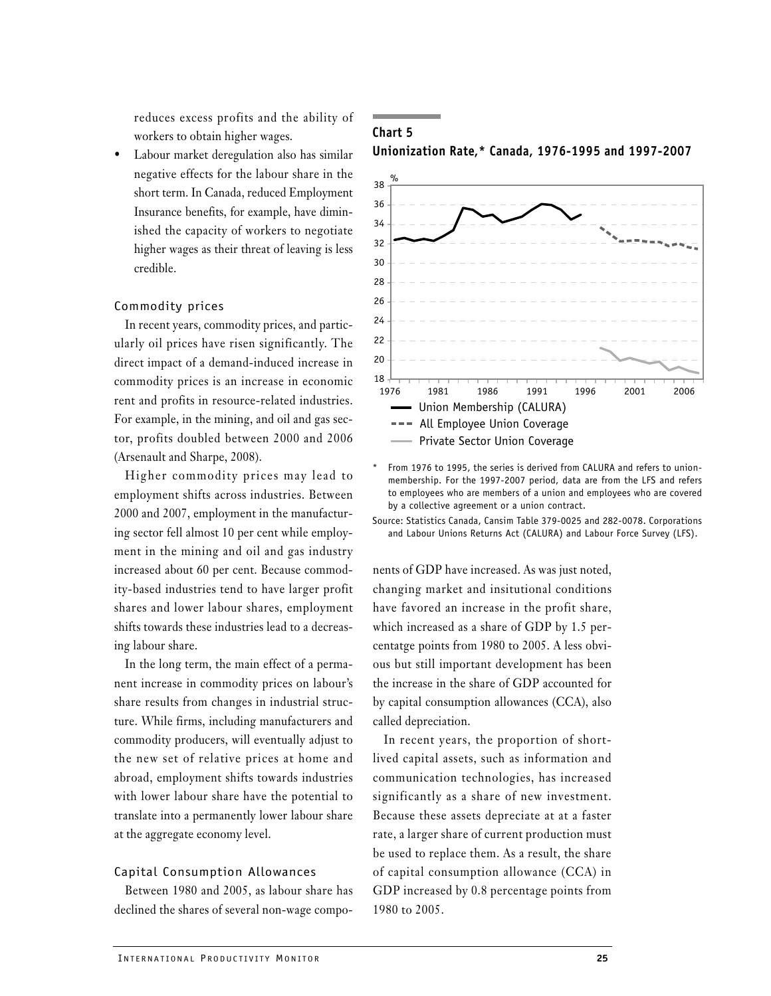reduces excess profits and the ability of workers to obtain higher wages.

Labour market deregulation also has similar negative effects for the labour share in the short term. In Canada, reduced Employment Insurance benefits, for example, have diminished the capacity of workers to negotiate higher wages as their threat of leaving is less credible.

## Commodity prices

In recent years, commodity prices, and particularly oil prices have risen significantly. The direct impact of a demand-induced increase in commodity prices is an increase in economic rent and profits in resource-related industries. For example, in the mining, and oil and gas sector, profits doubled between 2000 and 2006 (Arsenault and Sharpe, 2008).

Higher commodity prices may lead to employment shifts across industries. Between 2000 and 2007, employment in the manufacturing sector fell almost 10 per cent while employment in the mining and oil and gas industry increased about 60 per cent. Because commodity-based industries tend to have larger profit shares and lower labour shares, employment shifts towards these industries lead to a decreasing labour share.

In the long term, the main effect of a permanent increase in commodity prices on labour's share results from changes in industrial structure. While firms, including manufacturers and commodity producers, will eventually adjust to the new set of relative prices at home and abroad, employment shifts towards industries with lower labour share have the potential to translate into a permanently lower labour share at the aggregate economy level.

#### Capital Consumption Allowances

Between 1980 and 2005, as labour share has declined the shares of several non-wage compo-

## **Chart 5 Unionization Rate,\* Canada, 1976-1995 and 1997-2007**



From 1976 to 1995, the series is derived from CALURA and refers to unionmembership. For the 1997-2007 period, data are from the LFS and refers to employees who are members of a union and employees who are covered by a collective agreement or a union contract.

Source: Statistics Canada, Cansim Table 379-0025 and 282-0078. Corporations and Labour Unions Returns Act (CALURA) and Labour Force Survey (LFS).

nents of GDP have increased. As was just noted, changing market and insitutional conditions have favored an increase in the profit share, which increased as a share of GDP by 1.5 percentatge points from 1980 to 2005. A less obvious but still important development has been the increase in the share of GDP accounted for by capital consumption allowances (CCA), also called depreciation.

In recent years, the proportion of shortlived capital assets, such as information and communication technologies, has increased significantly as a share of new investment. Because these assets depreciate at at a faster rate, a larger share of current production must be used to replace them. As a result, the share of capital consumption allowance (CCA) in GDP increased by 0.8 percentage points from 1980 to 2005.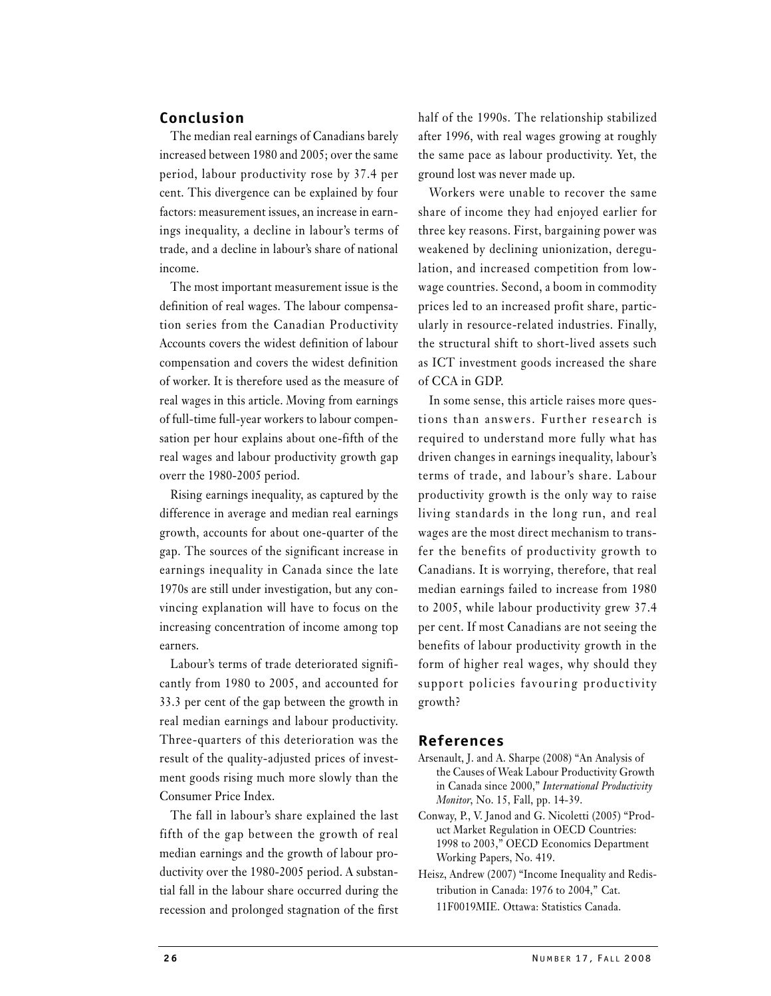## **Conclusion**

The median real earnings of Canadians barely increased between 1980 and 2005; over the same period, labour productivity rose by 37.4 per cent. This divergence can be explained by four factors: measurement issues, an increase in earnings inequality, a decline in labour's terms of trade, and a decline in labour's share of national income.

The most important measurement issue is the definition of real wages. The labour compensation series from the Canadian Productivity Accounts covers the widest definition of labour compensation and covers the widest definition of worker. It is therefore used as the measure of real wages in this article. Moving from earnings of full-time full-year workers to labour compensation per hour explains about one-fifth of the real wages and labour productivity growth gap overr the 1980-2005 period.

Rising earnings inequality, as captured by the difference in average and median real earnings growth, accounts for about one-quarter of the gap. The sources of the significant increase in earnings inequality in Canada since the late 1970s are still under investigation, but any convincing explanation will have to focus on the increasing concentration of income among top earners.

Labour's terms of trade deteriorated significantly from 1980 to 2005, and accounted for 33.3 per cent of the gap between the growth in real median earnings and labour productivity. Three-quarters of this deterioration was the result of the quality-adjusted prices of investment goods rising much more slowly than the Consumer Price Index.

The fall in labour's share explained the last fifth of the gap between the growth of real median earnings and the growth of labour productivity over the 1980-2005 period. A substantial fall in the labour share occurred during the recession and prolonged stagnation of the first

half of the 1990s. The relationship stabilized after 1996, with real wages growing at roughly the same pace as labour productivity. Yet, the ground lost was never made up.

Workers were unable to recover the same share of income they had enjoyed earlier for three key reasons. First, bargaining power was weakened by declining unionization, deregulation, and increased competition from lowwage countries. Second, a boom in commodity prices led to an increased profit share, particularly in resource-related industries. Finally, the structural shift to short-lived assets such as ICT investment goods increased the share of CCA in GDP.

In some sense, this article raises more questions than answers. Further research is required to understand more fully what has driven changes in earnings inequality, labour's terms of trade, and labour's share. Labour productivity growth is the only way to raise living standards in the long run, and real wages are the most direct mechanism to transfer the benefits of productivity growth to Canadians. It is worrying, therefore, that real median earnings failed to increase from 1980 to 2005, while labour productivity grew 37.4 per cent. If most Canadians are not seeing the benefits of labour productivity growth in the form of higher real wages, why should they support policies favouring productivity growth?

## **References**

- Arsenault, J. and A. Sharpe (2008) "An Analysis of the Causes of Weak Labour Productivity Growth in Canada since 2000," *International Productivity Monitor*, No. 15, Fall, pp. 14-39.
- Conway, P., V. Janod and G. Nicoletti (2005) "Product Market Regulation in OECD Countries: 1998 to 2003," OECD Economics Department Working Papers, No. 419.
- Heisz, Andrew (2007) "Income Inequality and Redistribution in Canada: 1976 to 2004," Cat. 11F0019MIE. Ottawa: Statistics Canada.